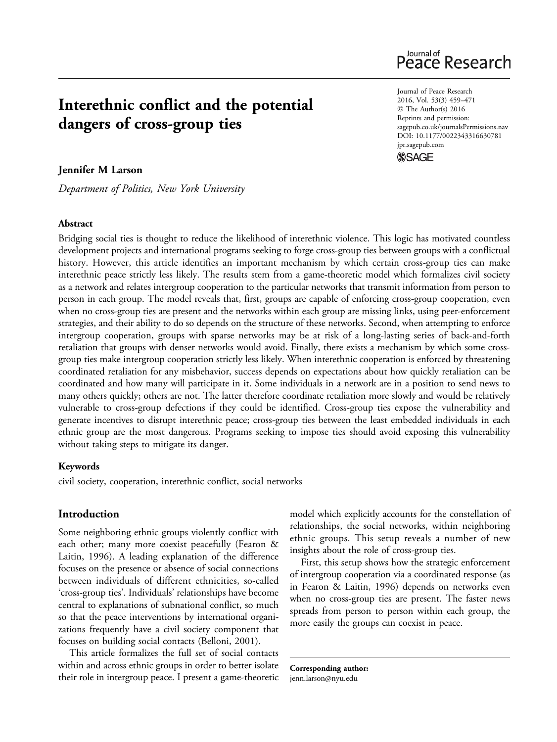# Interethnic conflict and the potential dangers of cross-group ties

# Jennifer M Larson

Department of Politics, New York University

#### Abstract

Bridging social ties is thought to reduce the likelihood of interethnic violence. This logic has motivated countless development projects and international programs seeking to forge cross-group ties between groups with a conflictual history. However, this article identifies an important mechanism by which certain cross-group ties can make interethnic peace strictly less likely. The results stem from a game-theoretic model which formalizes civil society as a network and relates intergroup cooperation to the particular networks that transmit information from person to person in each group. The model reveals that, first, groups are capable of enforcing cross-group cooperation, even when no cross-group ties are present and the networks within each group are missing links, using peer-enforcement strategies, and their ability to do so depends on the structure of these networks. Second, when attempting to enforce intergroup cooperation, groups with sparse networks may be at risk of a long-lasting series of back-and-forth retaliation that groups with denser networks would avoid. Finally, there exists a mechanism by which some crossgroup ties make intergroup cooperation strictly less likely. When interethnic cooperation is enforced by threatening coordinated retaliation for any misbehavior, success depends on expectations about how quickly retaliation can be coordinated and how many will participate in it. Some individuals in a network are in a position to send news to many others quickly; others are not. The latter therefore coordinate retaliation more slowly and would be relatively vulnerable to cross-group defections if they could be identified. Cross-group ties expose the vulnerability and generate incentives to disrupt interethnic peace; cross-group ties between the least embedded individuals in each ethnic group are the most dangerous. Programs seeking to impose ties should avoid exposing this vulnerability without taking steps to mitigate its danger.

#### Keywords

civil society, cooperation, interethnic conflict, social networks

# Introduction

Some neighboring ethnic groups violently conflict with each other; many more coexist peacefully (Fearon & Laitin, 1996). A leading explanation of the difference focuses on the presence or absence of social connections between individuals of different ethnicities, so-called 'cross-group ties'. Individuals' relationships have become central to explanations of subnational conflict, so much so that the peace interventions by international organizations frequently have a civil society component that focuses on building social contacts (Belloni, 2001).

This article formalizes the full set of social contacts within and across ethnic groups in order to better isolate their role in intergroup peace. I present a game-theoretic model which explicitly accounts for the constellation of relationships, the social networks, within neighboring ethnic groups. This setup reveals a number of new insights about the role of cross-group ties.

First, this setup shows how the strategic enforcement of intergroup cooperation via a coordinated response (as in Fearon & Laitin, 1996) depends on networks even when no cross-group ties are present. The faster news spreads from person to person within each group, the more easily the groups can coexist in peace.

Corresponding author: [jenn.larson@nyu.edu](mailto:jenn.larson@nyu.edu)

Journal of Peace Research 2016, Vol. 53(3) 459–471 © The Author(s) 2016 Reprints and permission: [sagepub.co.uk/journalsPermissions.nav](http://www.sagepub.co.uk/journalsPermissions.nav) DOI: 10.1177/0022343316630781 [jpr.sagepub.com](http://jpr.sagepub.com)



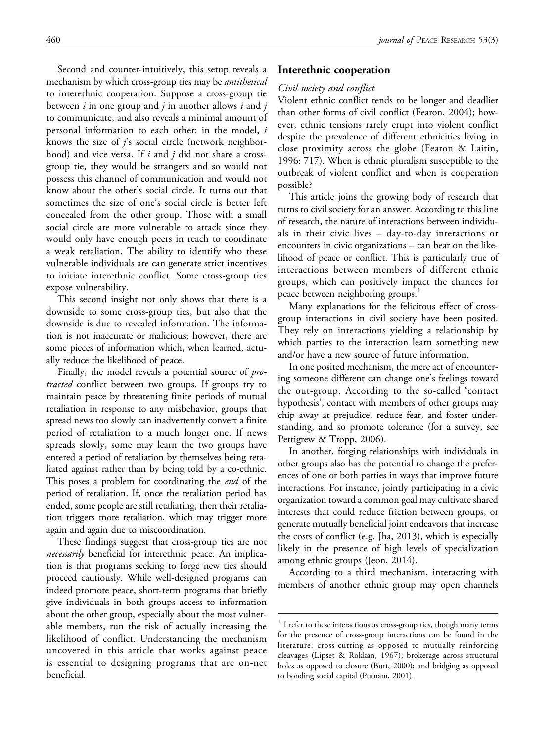Second and counter-intuitively, this setup reveals a mechanism by which cross-group ties may be *antithetical* to interethnic cooperation. Suppose a cross-group tie between  $i$  in one group and  $j$  in another allows  $i$  and  $j$ to communicate, and also reveals a minimal amount of personal information to each other: in the model, i knows the size of  $j$ 's social circle (network neighborhood) and vice versa. If  $i$  and  $j$  did not share a crossgroup tie, they would be strangers and so would not possess this channel of communication and would not know about the other's social circle. It turns out that sometimes the size of one's social circle is better left concealed from the other group. Those with a small social circle are more vulnerable to attack since they would only have enough peers in reach to coordinate a weak retaliation. The ability to identify who these vulnerable individuals are can generate strict incentives to initiate interethnic conflict. Some cross-group ties expose vulnerability.

This second insight not only shows that there is a downside to some cross-group ties, but also that the downside is due to revealed information. The information is not inaccurate or malicious; however, there are some pieces of information which, when learned, actually reduce the likelihood of peace.

Finally, the model reveals a potential source of *pro*tracted conflict between two groups. If groups try to maintain peace by threatening finite periods of mutual retaliation in response to any misbehavior, groups that spread news too slowly can inadvertently convert a finite period of retaliation to a much longer one. If news spreads slowly, some may learn the two groups have entered a period of retaliation by themselves being retaliated against rather than by being told by a co-ethnic. This poses a problem for coordinating the *end* of the period of retaliation. If, once the retaliation period has ended, some people are still retaliating, then their retaliation triggers more retaliation, which may trigger more again and again due to miscoordination.

These findings suggest that cross-group ties are not necessarily beneficial for interethnic peace. An implication is that programs seeking to forge new ties should proceed cautiously. While well-designed programs can indeed promote peace, short-term programs that briefly give individuals in both groups access to information about the other group, especially about the most vulnerable members, run the risk of actually increasing the likelihood of conflict. Understanding the mechanism uncovered in this article that works against peace is essential to designing programs that are on-net beneficial.

#### Interethnic cooperation

#### Civil society and conflict

Violent ethnic conflict tends to be longer and deadlier than other forms of civil conflict (Fearon, 2004); however, ethnic tensions rarely erupt into violent conflict despite the prevalence of different ethnicities living in close proximity across the globe (Fearon & Laitin, 1996: 717). When is ethnic pluralism susceptible to the outbreak of violent conflict and when is cooperation possible?

This article joins the growing body of research that turns to civil society for an answer. According to this line of research, the nature of interactions between individuals in their civic lives – day-to-day interactions or encounters in civic organizations – can bear on the likelihood of peace or conflict. This is particularly true of interactions between members of different ethnic groups, which can positively impact the chances for peace between neighboring groups.<sup>1</sup>

Many explanations for the felicitous effect of crossgroup interactions in civil society have been posited. They rely on interactions yielding a relationship by which parties to the interaction learn something new and/or have a new source of future information.

In one posited mechanism, the mere act of encountering someone different can change one's feelings toward the out-group. According to the so-called 'contact hypothesis', contact with members of other groups may chip away at prejudice, reduce fear, and foster understanding, and so promote tolerance (for a survey, see Pettigrew & Tropp, 2006).

In another, forging relationships with individuals in other groups also has the potential to change the preferences of one or both parties in ways that improve future interactions. For instance, jointly participating in a civic organization toward a common goal may cultivate shared interests that could reduce friction between groups, or generate mutually beneficial joint endeavors that increase the costs of conflict (e.g. Jha, 2013), which is especially likely in the presence of high levels of specialization among ethnic groups (Jeon, 2014).

According to a third mechanism, interacting with members of another ethnic group may open channels

 $1$  I refer to these interactions as cross-group ties, though many terms for the presence of cross-group interactions can be found in the literature: cross-cutting as opposed to mutually reinforcing cleavages (Lipset & Rokkan, 1967); brokerage across structural holes as opposed to closure (Burt, 2000); and bridging as opposed to bonding social capital (Putnam, 2001).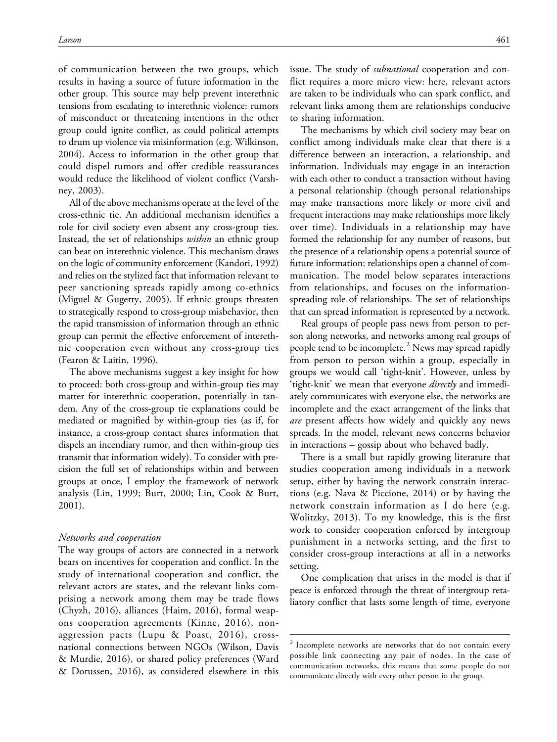of communication between the two groups, which results in having a source of future information in the other group. This source may help prevent interethnic tensions from escalating to interethnic violence: rumors of misconduct or threatening intentions in the other group could ignite conflict, as could political attempts to drum up violence via misinformation (e.g. Wilkinson, 2004). Access to information in the other group that could dispel rumors and offer credible reassurances would reduce the likelihood of violent conflict (Varshney, 2003).

All of the above mechanisms operate at the level of the cross-ethnic tie. An additional mechanism identifies a role for civil society even absent any cross-group ties. Instead, the set of relationships *within* an ethnic group can bear on interethnic violence. This mechanism draws on the logic of community enforcement (Kandori, 1992) and relies on the stylized fact that information relevant to peer sanctioning spreads rapidly among co-ethnics (Miguel & Gugerty, 2005). If ethnic groups threaten to strategically respond to cross-group misbehavior, then the rapid transmission of information through an ethnic group can permit the effective enforcement of interethnic cooperation even without any cross-group ties (Fearon & Laitin, 1996).

The above mechanisms suggest a key insight for how to proceed: both cross-group and within-group ties may matter for interethnic cooperation, potentially in tandem. Any of the cross-group tie explanations could be mediated or magnified by within-group ties (as if, for instance, a cross-group contact shares information that dispels an incendiary rumor, and then within-group ties transmit that information widely). To consider with precision the full set of relationships within and between groups at once, I employ the framework of network analysis (Lin, 1999; Burt, 2000; Lin, Cook & Burt, 2001).

#### Networks and cooperation

The way groups of actors are connected in a network bears on incentives for cooperation and conflict. In the study of international cooperation and conflict, the relevant actors are states, and the relevant links comprising a network among them may be trade flows (Chyzh, 2016), alliances (Haim, 2016), formal weapons cooperation agreements (Kinne, 2016), nonaggression pacts (Lupu & Poast, 2016), crossnational connections between NGOs (Wilson, Davis & Murdie, 2016), or shared policy preferences (Ward & Dorussen, 2016), as considered elsewhere in this issue. The study of *subnational* cooperation and conflict requires a more micro view: here, relevant actors are taken to be individuals who can spark conflict, and relevant links among them are relationships conducive to sharing information.

The mechanisms by which civil society may bear on conflict among individuals make clear that there is a difference between an interaction, a relationship, and information. Individuals may engage in an interaction with each other to conduct a transaction without having a personal relationship (though personal relationships may make transactions more likely or more civil and frequent interactions may make relationships more likely over time). Individuals in a relationship may have formed the relationship for any number of reasons, but the presence of a relationship opens a potential source of future information: relationships open a channel of communication. The model below separates interactions from relationships, and focuses on the informationspreading role of relationships. The set of relationships that can spread information is represented by a network.

Real groups of people pass news from person to person along networks, and networks among real groups of people tend to be incomplete.<sup>2</sup> News may spread rapidly from person to person within a group, especially in groups we would call 'tight-knit'. However, unless by 'tight-knit' we mean that everyone directly and immediately communicates with everyone else, the networks are incomplete and the exact arrangement of the links that are present affects how widely and quickly any news spreads. In the model, relevant news concerns behavior in interactions – gossip about who behaved badly.

There is a small but rapidly growing literature that studies cooperation among individuals in a network setup, either by having the network constrain interactions (e.g. Nava & Piccione, 2014) or by having the network constrain information as I do here (e.g. Wolitzky, 2013). To my knowledge, this is the first work to consider cooperation enforced by intergroup punishment in a networks setting, and the first to consider cross-group interactions at all in a networks setting.

One complication that arises in the model is that if peace is enforced through the threat of intergroup retaliatory conflict that lasts some length of time, everyone

<sup>&</sup>lt;sup>2</sup> Incomplete networks are networks that do not contain every possible link connecting any pair of nodes. In the case of communication networks, this means that some people do not communicate directly with every other person in the group.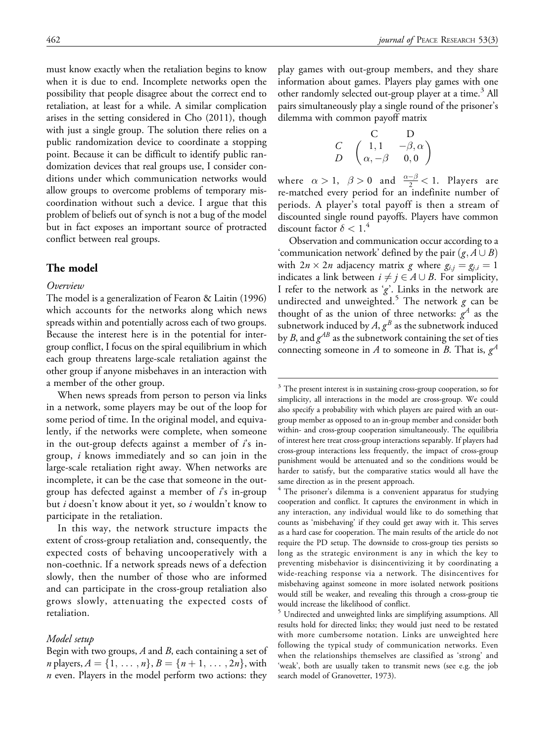must know exactly when the retaliation begins to know when it is due to end. Incomplete networks open the possibility that people disagree about the correct end to retaliation, at least for a while. A similar complication arises in the setting considered in Cho (2011), though with just a single group. The solution there relies on a public randomization device to coordinate a stopping point. Because it can be difficult to identify public randomization devices that real groups use, I consider conditions under which communication networks would allow groups to overcome problems of temporary miscoordination without such a device. I argue that this problem of beliefs out of synch is not a bug of the model but in fact exposes an important source of protracted conflict between real groups.

# The model

#### Overview

The model is a generalization of Fearon & Laitin (1996) which accounts for the networks along which news spreads within and potentially across each of two groups. Because the interest here is in the potential for intergroup conflict, I focus on the spiral equilibrium in which each group threatens large-scale retaliation against the other group if anyone misbehaves in an interaction with a member of the other group.

When news spreads from person to person via links in a network, some players may be out of the loop for some period of time. In the original model, and equivalently, if the networks were complete, when someone in the out-group defects against a member of  $\vec{i}$ 's ingroup, i knows immediately and so can join in the large-scale retaliation right away. When networks are incomplete, it can be the case that someone in the outgroup has defected against a member of  $i$ 's in-group but *i* doesn't know about it yet, so *i* wouldn't know to participate in the retaliation.

In this way, the network structure impacts the extent of cross-group retaliation and, consequently, the expected costs of behaving uncooperatively with a non-coethnic. If a network spreads news of a defection slowly, then the number of those who are informed and can participate in the cross-group retaliation also grows slowly, attenuating the expected costs of retaliation.

#### Model setup

Begin with two groups,  $A$  and  $B$ , each containing a set of *n* players,  $A = \{1, \ldots, n\}, B = \{n + 1, \ldots, 2n\}$ , with  $n$  even. Players in the model perform two actions: they

play games with out-group members, and they share information about games. Players play games with one other randomly selected out-group player at a time.<sup>3</sup> All pairs simultaneously play a single round of the prisoner's dilemma with common payoff matrix

$$
\begin{array}{cc}\nC & D \\
C & \begin{pmatrix}\n1, 1 & -\beta, \alpha \\
\alpha, -\beta & 0, 0\n\end{pmatrix}\n\end{array}
$$

where  $\alpha > 1$ ,  $\beta > 0$  and  $\frac{\alpha - \beta}{2} < 1$ . Players are re-matched every period for an indefinite number of periods. A player's total payoff is then a stream of discounted single round payoffs. Players have common discount factor  $\delta < 1$ .<sup>4</sup>

Observation and communication occur according to a 'communication network' defined by the pair  $(g, A \cup B)$ with  $2n \times 2n$  adjacency matrix g where  $g_{i,j} = g_{j,i} = 1$ indicates a link between  $i \neq j \in A \cup B$ . For simplicity, I refer to the network as  $g'$ . Links in the network are undirected and unweighted.<sup>5</sup> The network  $g$  can be thought of as the union of three networks:  $g^A$  as the subnetwork induced by  $A$ ,  $g^B$  as the subnetwork induced by B, and  $g^{AB}$  as the subnetwork containing the set of ties connecting someone in A to someone in B. That is,  $g<sup>A</sup>$ 

 $3$  The present interest is in sustaining cross-group cooperation, so for simplicity, all interactions in the model are cross-group. We could also specify a probability with which players are paired with an outgroup member as opposed to an in-group member and consider both within- and cross-group cooperation simultaneously. The equilibria of interest here treat cross-group interactions separably. If players had cross-group interactions less frequently, the impact of cross-group punishment would be attenuated and so the conditions would be harder to satisfy, but the comparative statics would all have the same direction as in the present approach.

<sup>&</sup>lt;sup>4</sup> The prisoner's dilemma is a convenient apparatus for studying cooperation and conflict. It captures the environment in which in any interaction, any individual would like to do something that counts as 'misbehaving' if they could get away with it. This serves as a hard case for cooperation. The main results of the article do not require the PD setup. The downside to cross-group ties persists so long as the strategic environment is any in which the key to preventing misbehavior is disincentivizing it by coordinating a wide-reaching response via a network. The disincentives for misbehaving against someone in more isolated network positions would still be weaker, and revealing this through a cross-group tie would increase the likelihood of conflict.

<sup>&</sup>lt;sup>5</sup> Undirected and unweighted links are simplifying assumptions. All results hold for directed links; they would just need to be restated with more cumbersome notation. Links are unweighted here following the typical study of communication networks. Even when the relationships themselves are classified as 'strong' and 'weak', both are usually taken to transmit news (see e.g. the job search model of Granovetter, 1973).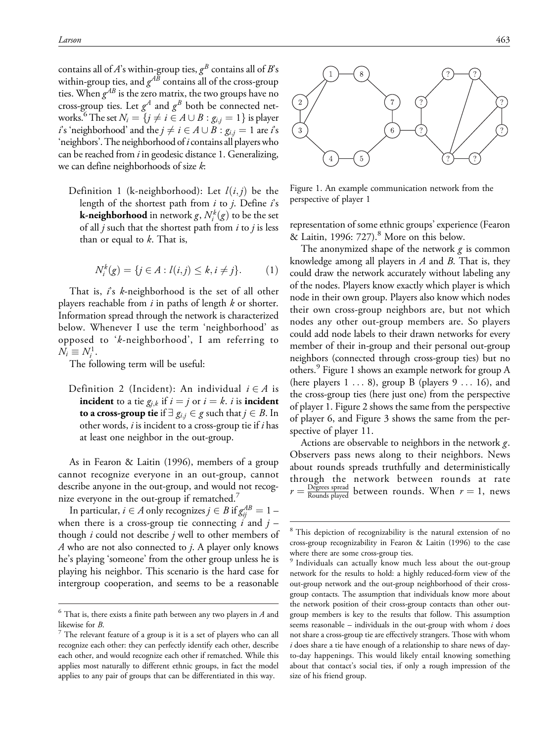contains all of A's within-group ties,  $g^B$  contains all of B's within-group ties, and  $g^{AB}$  contains all of the cross-group ties. When  $g^{AB}$  is the zero matrix, the two groups have no cross-group ties. Let  $g^A$  and  $g^B$  both be connected networks.<sup>6</sup> The set  $N_i = \{j \neq i \in A \cup B : g_{i,j} = 1\}$  is player *i*'s 'neighborhood' and the  $j \neq i \in A \cup B$  :  $g_{i,j} = 1$  are *i*'s 'neighbors'. The neighborhood of  $i$  contains all players who can be reached from  $i$  in geodesic distance 1. Generalizing, we can define neighborhoods of size k:

Definition 1 (k-neighborhood): Let  $l(i, j)$  be the length of the shortest path from  $i$  to  $j$ . Define  $i$ 's **k-neighborhood** in network  $g, N_i^k(g)$  to be the set of all  $j$  such that the shortest path from  $i$  to  $j$  is less than or equal to  $k$ . That is,

$$
N_i^k(g) = \{ j \in A : l(i,j) \le k, i \ne j \}.
$$
 (1)

That is,  $\mathbf{i}'s$  k-neighborhood is the set of all other players reachable from  $i$  in paths of length  $k$  or shorter. Information spread through the network is characterized below. Whenever I use the term 'neighborhood' as opposed to 'k-neighborhood', I am referring to  $N_i \equiv N_i^1$ .

The following term will be useful:

Definition 2 (Incident): An individual  $i \in A$  is **incident** to a tie  $g_{i,k}$  if  $i = j$  or  $i = k$ . i is **incident** to a cross-group tie if  $\exists g_{i,j} \in g$  such that  $j \in B$ . In other words,  $i$  is incident to a cross-group tie if  $i$  has at least one neighbor in the out-group.

As in Fearon & Laitin (1996), members of a group cannot recognize everyone in an out-group, cannot describe anyone in the out-group, and would not recognize everyone in the out-group if rematched.<sup>7</sup>

In particular,  $i \in A$  only recognizes  $j \in B$  if  $g^{AB}_{ij} = 1 - \frac{1}{2}$ when there is a cross-group tie connecting  $\vec{i}$  and  $\vec{j}$  – though  $i$  could not describe  $j$  well to other members of A who are not also connected to  $j$ . A player only knows he's playing 'someone' from the other group unless he is playing his neighbor. This scenario is the hard case for intergroup cooperation, and seems to be a reasonable



Figure 1. An example communication network from the perspective of player 1

representation of some ethnic groups' experience (Fearon  $\&$  Laitin, 1996: 727).<sup>8</sup> More on this below.

The anonymized shape of the network  $\varrho$  is common knowledge among all players in  $A$  and  $B$ . That is, they could draw the network accurately without labeling any of the nodes. Players know exactly which player is which node in their own group. Players also know which nodes their own cross-group neighbors are, but not which nodes any other out-group members are. So players could add node labels to their drawn networks for every member of their in-group and their personal out-group neighbors (connected through cross-group ties) but no others.<sup>9</sup> Figure 1 shows an example network for group A (here players  $1 \ldots 8$ ), group B (players  $9 \ldots 16$ ), and the cross-group ties (here just one) from the perspective of player 1. Figure 2 shows the same from the perspective of player 6, and Figure 3 shows the same from the perspective of player 11.

Actions are observable to neighbors in the network g. Observers pass news along to their neighbors. News about rounds spreads truthfully and deterministically through the network between rounds at rate  $r = \frac{\text{Degrees spread}}{\text{Rounds played}}$  between rounds. When  $r = 1$ , news

 $^6$  That is, there exists a finite path between any two players in  $A$  and

likewise for *B*.<br><sup>7</sup> The relevant feature of a group is it is a set of players who can all recognize each other: they can perfectly identify each other, describe each other, and would recognize each other if rematched. While this applies most naturally to different ethnic groups, in fact the model applies to any pair of groups that can be differentiated in this way.

<sup>8</sup> This depiction of recognizability is the natural extension of no cross-group recognizability in Fearon & Laitin (1996) to the case where there are some cross-group ties.

<sup>9</sup> Individuals can actually know much less about the out-group network for the results to hold: a highly reduced-form view of the out-group network and the out-group neighborhood of their crossgroup contacts. The assumption that individuals know more about the network position of their cross-group contacts than other outgroup members is key to the results that follow. This assumption seems reasonable – individuals in the out-group with whom  $i$  does not share a cross-group tie are effectively strangers. Those with whom  $i$  does share a tie have enough of a relationship to share news of dayto-day happenings. This would likely entail knowing something about that contact's social ties, if only a rough impression of the size of his friend group.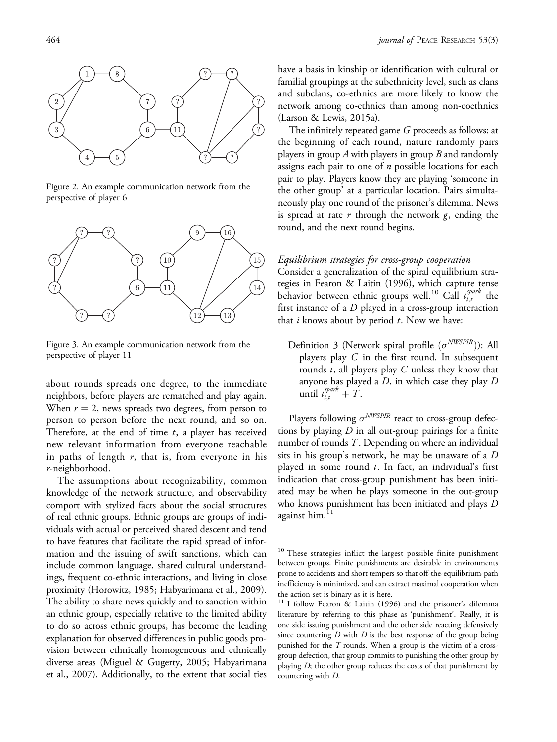

Figure 2. An example communication network from the perspective of player 6



Figure 3. An example communication network from the perspective of player 11

about rounds spreads one degree, to the immediate neighbors, before players are rematched and play again. When  $r = 2$ , news spreads two degrees, from person to person to person before the next round, and so on. Therefore, at the end of time  $t$ , a player has received new relevant information from everyone reachable in paths of length  $r$ , that is, from everyone in his r-neighborhood.

The assumptions about recognizability, common knowledge of the network structure, and observability comport with stylized facts about the social structures of real ethnic groups. Ethnic groups are groups of individuals with actual or perceived shared descent and tend to have features that facilitate the rapid spread of information and the issuing of swift sanctions, which can include common language, shared cultural understandings, frequent co-ethnic interactions, and living in close proximity (Horowitz, 1985; Habyarimana et al., 2009). The ability to share news quickly and to sanction within an ethnic group, especially relative to the limited ability to do so across ethnic groups, has become the leading explanation for observed differences in public goods provision between ethnically homogeneous and ethnically diverse areas (Miguel & Gugerty, 2005; Habyarimana et al., 2007). Additionally, to the extent that social ties have a basis in kinship or identification with cultural or familial groupings at the subethnicity level, such as clans and subclans, co-ethnics are more likely to know the network among co-ethnics than among non-coethnics (Larson & Lewis, 2015a).

The infinitely repeated game G proceeds as follows: at the beginning of each round, nature randomly pairs players in group A with players in group B and randomly assigns each pair to one of  $n$  possible locations for each pair to play. Players know they are playing 'someone in the other group' at a particular location. Pairs simultaneously play one round of the prisoner's dilemma. News is spread at rate  $r$  through the network  $g$ , ending the round, and the next round begins.

#### Equilibrium strategies for cross-group cooperation

Consider a generalization of the spiral equilibrium strategies in Fearon & Laitin (1996), which capture tense behavior between ethnic groups well.<sup>10</sup> Call  $t_{i,t}^{spark}$  the first instance of a  $D$  played in a cross-group interaction that  $i$  knows about by period  $t$ . Now we have:

Definition 3 (Network spiral profile  $(\sigma^{NWSPIR})$ ): All players play  $C$  in the first round. In subsequent rounds  $t$ , all players play  $C$  unless they know that anyone has played a D, in which case they play D until  $t_{i,t}^{spark} + T$ .

Players following  $\sigma^{NWSPIR}$  react to cross-group defections by playing  $D$  in all out-group pairings for a finite number of rounds T. Depending on where an individual sits in his group's network, he may be unaware of a D played in some round  $t$ . In fact, an individual's first indication that cross-group punishment has been initiated may be when he plays someone in the out-group who knows punishment has been initiated and plays D against him.<sup>11</sup>

<sup>&</sup>lt;sup>10</sup> These strategies inflict the largest possible finite punishment between groups. Finite punishments are desirable in environments prone to accidents and short tempers so that off-the-equilibrium-path inefficiency is minimized, and can extract maximal cooperation when the action set is binary as it is here.

<sup>&</sup>lt;sup>11</sup> I follow Fearon & Laitin (1996) and the prisoner's dilemma literature by referring to this phase as 'punishment'. Really, it is one side issuing punishment and the other side reacting defensively since countering  $D$  with  $D$  is the best response of the group being punished for the  $T$  rounds. When a group is the victim of a crossgroup defection, that group commits to punishing the other group by playing  $D$ ; the other group reduces the costs of that punishment by countering with D.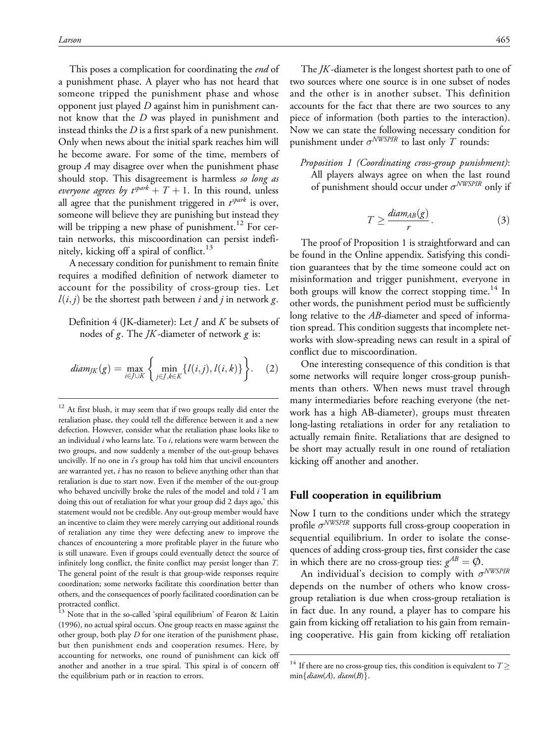This poses a complication for coordinating the *end* of a punishment phase. A player who has not heard that someone tripped the punishment phase and whose opponent just played  $D$  against him in punishment cannot know that the D was played in punishment and instead thinks the  $D$  is a first spark of a new punishment. Only when news about the initial spark reaches him will he become aware. For some of the time, members of group  $A$  may disagree over when the punishment phase should stop. This disagreement is harmless so long as everyone agrees by  $t^{spark} + T + 1$ . In this round, unless all agree that the punishment triggered in  $t^{spark}$  is over, someone will believe they are punishing but instead they will be tripping a new phase of punishment.<sup>12</sup> For certain networks, this miscoordination can persist indefinitely, kicking off a spiral of conflict.<sup>13</sup>

A necessary condition for punishment to remain finite requires a modified definition of network diameter to account for the possibility of cross-group ties. Let  $l(i, j)$  be the shortest path between i and j in network g.

Definition 4 (JK-diameter): Let  *and*  $*K*$  *be subsets of* nodes of g. The  $JK$ -diameter of network g is:

$$
diam_{JK}(g) = \max_{i \in J \cup K} \left\{ \min_{j \in J, k \in K} \{l(i, j), l(i, k)\} \right\}.
$$
 (2)

 $^{13}$  Note that in the so-called 'spiral equilibrium' of Fearon & Laitin (1996), no actual spiral occurs. One group reacts en masse against the other group, both play D for one iteration of the punishment phase, but then punishment ends and cooperation resumes. Here, by accounting for networks, one round of punishment can kick off another and another in a true spiral. This spiral is of concern off the equilibrium path or in reaction to errors.

The *JK*-diameter is the longest shortest path to one of two sources where one source is in one subset of nodes and the other is in another subset. This definition accounts for the fact that there are two sources to any piece of information (both parties to the interaction). Now we can state the following necessary condition for punishment under  $\sigma^{NWSPIR}$  to last only T rounds:

Proposition 1 (Coordinating cross-group punishment): All players always agree on when the last round of punishment should occur under  $\sigma^{NWSPIR}$  only if

$$
T \ge \frac{diam_{AB}(g)}{r}.
$$
 (3)

The proof of Proposition 1 is straightforward and can be found in the Online appendix. Satisfying this condition guarantees that by the time someone could act on misinformation and trigger punishment, everyone in both groups will know the correct stopping time.<sup>14</sup> In other words, the punishment period must be sufficiently long relative to the AB-diameter and speed of information spread. This condition suggests that incomplete networks with slow-spreading news can result in a spiral of conflict due to miscoordination.

One interesting consequence of this condition is that some networks will require longer cross-group punishments than others. When news must travel through many intermediaries before reaching everyone (the network has a high AB-diameter), groups must threaten long-lasting retaliations in order for any retaliation to actually remain finite. Retaliations that are designed to be short may actually result in one round of retaliation kicking off another and another.

#### Full cooperation in equilibrium

Now I turn to the conditions under which the strategy profile  $\sigma^{NWSPIR}$  supports full cross-group cooperation in sequential equilibrium. In order to isolate the consequences of adding cross-group ties, first consider the case in which there are no cross-group ties:  $g^{AB} = \emptyset$ .

An individual's decision to comply with  $\sigma^{NWSPIR}$ depends on the number of others who know crossgroup retaliation is due when cross-group retaliation is in fact due. In any round, a player has to compare his gain from kicking off retaliation to his gain from remaining cooperative. His gain from kicking off retaliation

 $12$  At first blush, it may seem that if two groups really did enter the retaliation phase, they could tell the difference between it and a new defection. However, consider what the retaliation phase looks like to an individual  $i$  who learns late. To  $i$ , relations were warm between the two groups, and now suddenly a member of the out-group behaves uncivilly. If no one in  $i$ 's group has told him that uncivil encounters are warranted yet, i has no reason to believe anything other than that retaliation is due to start now. Even if the member of the out-group who behaved uncivilly broke the rules of the model and told  $i$  'I am doing this out of retaliation for what your group did 2 days ago,' this statement would not be credible. Any out-group member would have an incentive to claim they were merely carrying out additional rounds of retaliation any time they were defecting anew to improve the chances of encountering a more profitable player in the future who is still unaware. Even if groups could eventually detect the source of infinitely long conflict, the finite conflict may persist longer than T. The general point of the result is that group-wide responses require coordination; some networks facilitate this coordination better than others, and the consequences of poorly facilitated coordination can be protracted conflict.

<sup>&</sup>lt;sup>14</sup> If there are no cross-group ties, this condition is equivalent to  $T \geq$  $min\{diam(A), diam(B)\}.$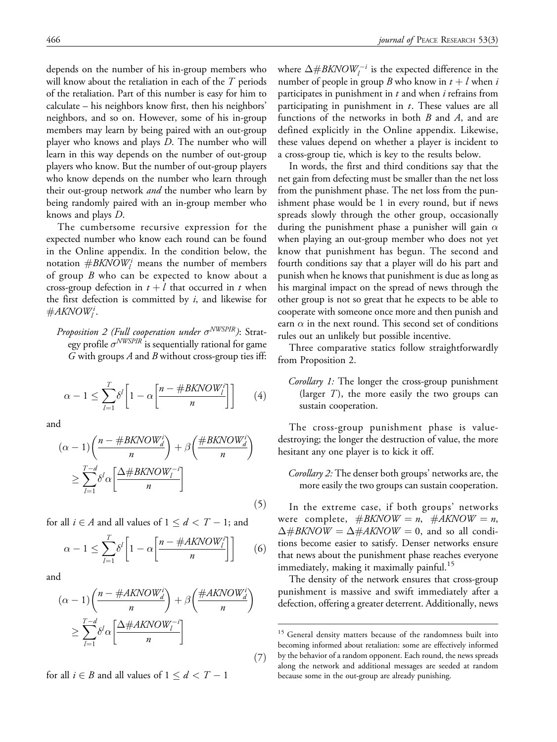depends on the number of his in-group members who will know about the retaliation in each of the  $T$  periods of the retaliation. Part of this number is easy for him to calculate – his neighbors know first, then his neighbors' neighbors, and so on. However, some of his in-group members may learn by being paired with an out-group player who knows and plays D. The number who will learn in this way depends on the number of out-group players who know. But the number of out-group players who know depends on the number who learn through their out-group network and the number who learn by being randomly paired with an in-group member who knows and plays D.

The cumbersome recursive expression for the expected number who know each round can be found in the Online appendix. In the condition below, the notation  $\#BKNOW^i_l$  means the number of members of group  $B$  who can be expected to know about a cross-group defection in  $t + l$  that occurred in t when the first defection is committed by  $i$ , and likewise for  $\#AKNOW^i_l.$ 

Proposition 2 (Full cooperation under  $\sigma^{NWSPIR}$ ): Strategy profile  $\sigma^{NWSPIR}$  is sequentially rational for game G with groups A and B without cross-group ties iff:

$$
\alpha - 1 \le \sum_{l=1}^{T} \delta^l \left[ 1 - \alpha \left[ \frac{n - \# BK NOW_l^i}{n} \right] \right] \tag{4}
$$

and

$$
(\alpha - 1) \left( \frac{n - \#BKNOW_d^i}{n} \right) + \beta \left( \frac{\#BKNOW_d^i}{n} \right)
$$
  
\n
$$
\geq \sum_{l=1}^{T-d} \delta^l \alpha \left[ \frac{\Delta \#BKNOW_l^{-i}}{n} \right]
$$
\n(5)

for all  $i \in A$  and all values of  $1 \leq d < T - 1$ ; and

$$
\alpha - 1 \le \sum_{l=1}^{T} \delta^l \left[ 1 - \alpha \left[ \frac{n - \#AKNOW_l^i}{n} \right] \right] \tag{6}
$$

and

$$
(\alpha - 1) \left( \frac{n - \#AKNON_d^i}{n} \right) + \beta \left( \frac{\#AKNOWLED}{n} \right)
$$
  

$$
\geq \sum_{l=1}^{T-d} \delta^l \alpha \left[ \frac{\Delta \#AKNON_l^{-i}}{n} \right]
$$
  
(7)

for all  $i \in B$  and all values of  $1 \leq d < T - 1$ 

where  $\Delta \# BKNOW_l^{-i}$  is the expected difference in the number of people in group B who know in  $t + l$  when i participates in punishment in  $t$  and when  $i$  refrains from participating in punishment in  $t$ . These values are all functions of the networks in both  $B$  and  $A$ , and are

defined explicitly in the Online appendix. Likewise, these values depend on whether a player is incident to

a cross-group tie, which is key to the results below. In words, the first and third conditions say that the net gain from defecting must be smaller than the net loss from the punishment phase. The net loss from the punishment phase would be 1 in every round, but if news spreads slowly through the other group, occasionally during the punishment phase a punisher will gain  $\alpha$ when playing an out-group member who does not yet know that punishment has begun. The second and fourth conditions say that a player will do his part and punish when he knows that punishment is due as long as his marginal impact on the spread of news through the other group is not so great that he expects to be able to cooperate with someone once more and then punish and earn  $\alpha$  in the next round. This second set of conditions rules out an unlikely but possible incentive.

Three comparative statics follow straightforwardly from Proposition 2.

Corollary 1: The longer the cross-group punishment (larger  $T$ ), the more easily the two groups can sustain cooperation.

The cross-group punishment phase is valuedestroying; the longer the destruction of value, the more hesitant any one player is to kick it off.

Corollary 2: The denser both groups' networks are, the more easily the two groups can sustain cooperation.

In the extreme case, if both groups' networks were complete,  $\#BKNOW = n$ ,  $\#AKNOW = n$ ,  $\Delta \text{#B}$ KNOW =  $\Delta \text{#}$ AKNOW = 0, and so all conditions become easier to satisfy. Denser networks ensure that news about the punishment phase reaches everyone immediately, making it maximally painful.<sup>15</sup>

The density of the network ensures that cross-group punishment is massive and swift immediately after a defection, offering a greater deterrent. Additionally, news

<sup>&</sup>lt;sup>15</sup> General density matters because of the randomness built into becoming informed about retaliation: some are effectively informed by the behavior of a random opponent. Each round, the news spreads along the network and additional messages are seeded at random because some in the out-group are already punishing.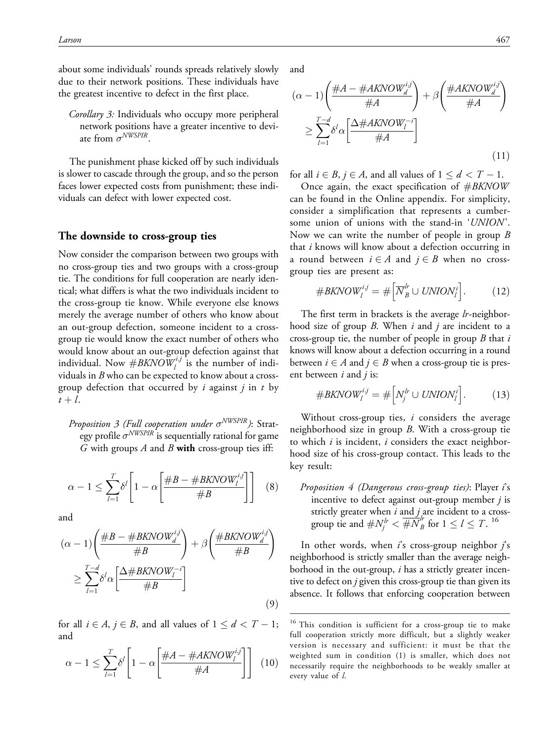about some individuals' rounds spreads relatively slowly due to their network positions. These individuals have the greatest incentive to defect in the first place.

Corollary 3: Individuals who occupy more peripheral network positions have a greater incentive to deviate from  $\sigma^{NWSPIR}$ 

The punishment phase kicked off by such individuals is slower to cascade through the group, and so the person faces lower expected costs from punishment; these individuals can defect with lower expected cost.

#### The downside to cross-group ties

Now consider the comparison between two groups with no cross-group ties and two groups with a cross-group tie. The conditions for full cooperation are nearly identical; what differs is what the two individuals incident to the cross-group tie know. While everyone else knows merely the average number of others who know about an out-group defection, someone incident to a crossgroup tie would know the exact number of others who would know about an out-group defection against that individual. Now  $\#BKNOW_l^{i,j}$  is the number of individuals in  $B$  who can be expected to know about a crossgroup defection that occurred by i against j in t by  $t+l$ .

Proposition 3 (Full cooperation under  $\sigma^{NWSPIR}$ ): Strategy profile  $\sigma^{NWSPIR}$  is sequentially rational for game G with groups A and B with cross-group ties iff:

$$
\alpha - 1 \le \sum_{l=1}^{T} \delta^l \left[ 1 - \alpha \left[ \frac{\#B - \# BK Now V_l^{i,j}}{\#B} \right] \right] \tag{8}
$$

and

$$
(\alpha - 1) \left( \frac{\#B - \#BKNOW_d^{i,j}}{\#B} \right) + \beta \left( \frac{\#BKNOW_d^{i,j}}{\#B} \right)
$$
  

$$
\geq \sum_{l=1}^{T-d} \delta^l \alpha \left[ \frac{\Delta \#BKNOW_l^{-i}}{\#B} \right]
$$
(9)

for all  $i \in A$ ,  $j \in B$ , and all values of  $1 \le d < T - 1$ ; and

$$
\alpha - 1 \le \sum_{l=1}^{T} \delta^l \left[ 1 - \alpha \left[ \frac{\#A - \#AKNOW_l^{i,j}}{\#A} \right] \right] \tag{10}
$$

and

$$
(\alpha - 1) \left( \frac{\#A - \#AKNOW_d^{i,j}}{\#A} \right) + \beta \left( \frac{\#AKNOW_d^{i,j}}{\#A} \right)
$$
  

$$
\geq \sum_{l=1}^{T-d} \delta^l \alpha \left[ \frac{\Delta \#AKNOW_l^{-i}}{\#A} \right]
$$
(11)

for all  $i \in B$ ,  $j \in A$ , and all values of  $1 \le d < T - 1$ .

Once again, the exact specification of  $\#BKNOW$ can be found in the Online appendix. For simplicity, consider a simplification that represents a cumbersome union of unions with the stand-in 'UNION'. Now we can write the number of people in group B that  $i$  knows will know about a defection occurring in a round between  $i \in A$  and  $j \in B$  when no crossgroup ties are present as:

$$
\#BKNOW_l^{i,j} = \# \Big[\overline{N}_B^h \cup UNION_l^i\Big]. \tag{12}
$$

The first term in brackets is the average lr-neighborhood size of group  $B$ . When  $i$  and  $j$  are incident to a cross-group tie, the number of people in group  $B$  that  $i$ knows will know about a defection occurring in a round between  $i \in A$  and  $j \in B$  when a cross-group tie is present between  $i$  and  $j$  is:

$$
\#BKNOW_l^{i,j} = \# \Big[ N_j^{lr} \cup UNION_l^i \Big]. \tag{13}
$$

Without cross-group ties,  $i$  considers the average neighborhood size in group  $B$ . With a cross-group tie to which  $i$  is incident,  $i$  considers the exact neighborhood size of his cross-group contact. This leads to the key result:

Proposition  $4$  (Dangerous cross-group ties): Player  $i$ 's incentive to defect against out-group member  $j$  is strictly greater when  $i$  and  $j$  are incident to a crossgroup tie and  $\# N_j^{lr} < \overline{\# N}_B^{lr}$  for  $1 \le l \le T$ . <sup>16</sup>

In other words, when  $\hat{i}$ s cross-group neighbor  $\hat{j}$ s neighborhood is strictly smaller than the average neighborhood in the out-group,  $i$  has a strictly greater incentive to defect on  $j$  given this cross-group tie than given its absence. It follows that enforcing cooperation between

<sup>&</sup>lt;sup>16</sup> This condition is sufficient for a cross-group tie to make full cooperation strictly more difficult, but a slightly weaker version is necessary and sufficient: it must be that the weighted sum in condition (1) is smaller, which does not necessarily require the neighborhoods to be weakly smaller at every value of l.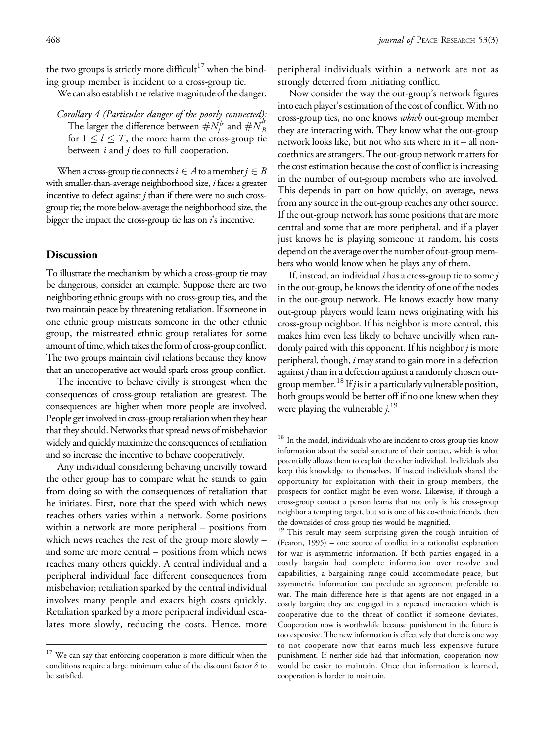the two groups is strictly more difficult<sup>17</sup> when the binding group member is incident to a cross-group tie.

We can also establish the relative magnitude of the danger.

Corollary 4 (Particular danger of the poorly connected): The larger the difference between  $\# N_f^{lr}$  and  $\overline{\# N}_B^{lr}$ for  $1 \leq l \leq T$ , the more harm the cross-group tie between  $i$  and  $j$  does to full cooperation.

When a cross-group tie connects  $i \in A$  to a member  $j \in B$ with smaller-than-average neighborhood size, *i* faces a greater incentive to defect against  $j$  than if there were no such crossgroup tie; the more below-average the neighborhood size, the bigger the impact the cross-group tie has on  $\hat{i}$  s incentive.

#### Discussion

To illustrate the mechanism by which a cross-group tie may be dangerous, consider an example. Suppose there are two neighboring ethnic groups with no cross-group ties, and the two maintain peace by threatening retaliation. If someone in one ethnic group mistreats someone in the other ethnic group, the mistreated ethnic group retaliates for some amount of time, which takes the form of cross-group conflict. The two groups maintain civil relations because they know that an uncooperative act would spark cross-group conflict.

The incentive to behave civilly is strongest when the consequences of cross-group retaliation are greatest. The consequences are higher when more people are involved. People get involved in cross-group retaliation when they hear that they should. Networks that spread news of misbehavior widely and quickly maximize the consequences of retaliation and so increase the incentive to behave cooperatively.

Any individual considering behaving uncivilly toward the other group has to compare what he stands to gain from doing so with the consequences of retaliation that he initiates. First, note that the speed with which news reaches others varies within a network. Some positions within a network are more peripheral – positions from which news reaches the rest of the group more slowly – and some are more central – positions from which news reaches many others quickly. A central individual and a peripheral individual face different consequences from misbehavior; retaliation sparked by the central individual involves many people and exacts high costs quickly. Retaliation sparked by a more peripheral individual escalates more slowly, reducing the costs. Hence, more peripheral individuals within a network are not as strongly deterred from initiating conflict.

Now consider the way the out-group's network figures into each player's estimation of the cost of conflict. With no cross-group ties, no one knows which out-group member they are interacting with. They know what the out-group network looks like, but not who sits where in it – all noncoethnics are strangers. The out-group network matters for the cost estimation because the cost of conflict is increasing in the number of out-group members who are involved. This depends in part on how quickly, on average, news from any source in the out-group reaches any other source. If the out-group network has some positions that are more central and some that are more peripheral, and if a player just knows he is playing someone at random, his costs depend on the average over the number of out-group members who would know when he plays any of them.

If, instead, an individual  $i$  has a cross-group tie to some  $j$ in the out-group, he knows the identity of one of the nodes in the out-group network. He knows exactly how many out-group players would learn news originating with his cross-group neighbor. If his neighbor is more central, this makes him even less likely to behave uncivilly when randomly paired with this opponent. If his neighbor j is more peripheral, though, i may stand to gain more in a defection against  $j$  than in a defection against a randomly chosen outgroup member.<sup>18</sup> If *j* is in a particularly vulnerable position, both groups would be better off if no one knew when they were playing the vulnerable  $j$ .<sup>19</sup>

<sup>&</sup>lt;sup>17</sup> We can say that enforcing cooperation is more difficult when the conditions require a large minimum value of the discount factor  $\delta$  to be satisfied.

<sup>&</sup>lt;sup>18</sup> In the model, individuals who are incident to cross-group ties know information about the social structure of their contact, which is what potentially allows them to exploit the other individual. Individuals also keep this knowledge to themselves. If instead individuals shared the opportunity for exploitation with their in-group members, the prospects for conflict might be even worse. Likewise, if through a cross-group contact a person learns that not only is his cross-group neighbor a tempting target, but so is one of his co-ethnic friends, then the downsides of cross-group ties would be magnified.

<sup>&</sup>lt;sup>19</sup> This result may seem surprising given the rough intuition of (Fearon, 1995) – one source of conflict in a rationalist explanation for war is asymmetric information. If both parties engaged in a costly bargain had complete information over resolve and capabilities, a bargaining range could accommodate peace, but asymmetric information can preclude an agreement preferable to war. The main difference here is that agents are not engaged in a costly bargain; they are engaged in a repeated interaction which is cooperative due to the threat of conflict if someone deviates. Cooperation now is worthwhile because punishment in the future is too expensive. The new information is effectively that there is one way to not cooperate now that earns much less expensive future punishment. If neither side had that information, cooperation now would be easier to maintain. Once that information is learned, cooperation is harder to maintain.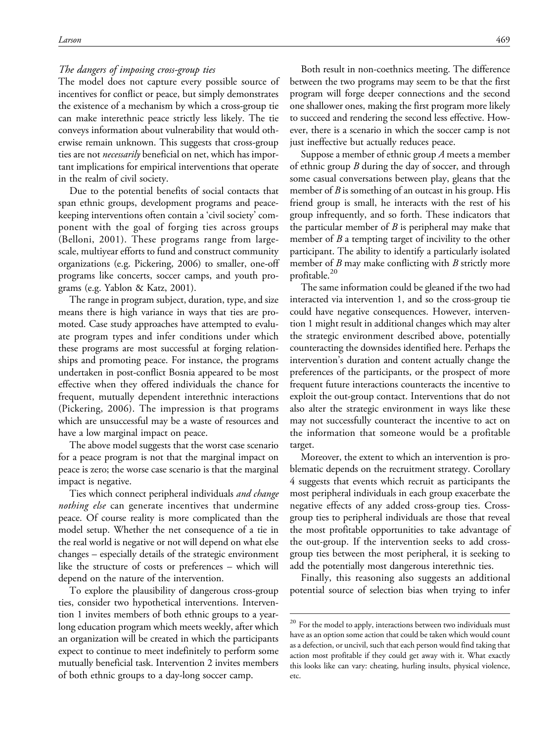#### The dangers of imposing cross-group ties

The model does not capture every possible source of incentives for conflict or peace, but simply demonstrates the existence of a mechanism by which a cross-group tie can make interethnic peace strictly less likely. The tie conveys information about vulnerability that would otherwise remain unknown. This suggests that cross-group ties are not *necessarily* beneficial on net, which has important implications for empirical interventions that operate in the realm of civil society.

Due to the potential benefits of social contacts that span ethnic groups, development programs and peacekeeping interventions often contain a 'civil society' component with the goal of forging ties across groups (Belloni, 2001). These programs range from largescale, multiyear efforts to fund and construct community organizations (e.g. Pickering, 2006) to smaller, one-off programs like concerts, soccer camps, and youth programs (e.g. Yablon & Katz, 2001).

The range in program subject, duration, type, and size means there is high variance in ways that ties are promoted. Case study approaches have attempted to evaluate program types and infer conditions under which these programs are most successful at forging relationships and promoting peace. For instance, the programs undertaken in post-conflict Bosnia appeared to be most effective when they offered individuals the chance for frequent, mutually dependent interethnic interactions (Pickering, 2006). The impression is that programs which are unsuccessful may be a waste of resources and have a low marginal impact on peace.

The above model suggests that the worst case scenario for a peace program is not that the marginal impact on peace is zero; the worse case scenario is that the marginal impact is negative.

Ties which connect peripheral individuals and change *nothing else* can generate incentives that undermine peace. Of course reality is more complicated than the model setup. Whether the net consequence of a tie in the real world is negative or not will depend on what else changes – especially details of the strategic environment like the structure of costs or preferences – which will depend on the nature of the intervention.

To explore the plausibility of dangerous cross-group ties, consider two hypothetical interventions. Intervention 1 invites members of both ethnic groups to a yearlong education program which meets weekly, after which an organization will be created in which the participants expect to continue to meet indefinitely to perform some mutually beneficial task. Intervention 2 invites members of both ethnic groups to a day-long soccer camp.

Both result in non-coethnics meeting. The difference between the two programs may seem to be that the first program will forge deeper connections and the second one shallower ones, making the first program more likely to succeed and rendering the second less effective. However, there is a scenario in which the soccer camp is not just ineffective but actually reduces peace.

Suppose a member of ethnic group A meets a member of ethnic group  $B$  during the day of soccer, and through some casual conversations between play, gleans that the member of  $B$  is something of an outcast in his group. His friend group is small, he interacts with the rest of his group infrequently, and so forth. These indicators that the particular member of  $B$  is peripheral may make that member of  $B$  a tempting target of incivility to the other participant. The ability to identify a particularly isolated member of  $B$  may make conflicting with  $B$  strictly more profitable.<sup>20</sup>

The same information could be gleaned if the two had interacted via intervention 1, and so the cross-group tie could have negative consequences. However, intervention 1 might result in additional changes which may alter the strategic environment described above, potentially counteracting the downsides identified here. Perhaps the intervention's duration and content actually change the preferences of the participants, or the prospect of more frequent future interactions counteracts the incentive to exploit the out-group contact. Interventions that do not also alter the strategic environment in ways like these may not successfully counteract the incentive to act on the information that someone would be a profitable target.

Moreover, the extent to which an intervention is problematic depends on the recruitment strategy. Corollary 4 suggests that events which recruit as participants the most peripheral individuals in each group exacerbate the negative effects of any added cross-group ties. Crossgroup ties to peripheral individuals are those that reveal the most profitable opportunities to take advantage of the out-group. If the intervention seeks to add crossgroup ties between the most peripheral, it is seeking to add the potentially most dangerous interethnic ties.

Finally, this reasoning also suggests an additional potential source of selection bias when trying to infer

<sup>&</sup>lt;sup>20</sup> For the model to apply, interactions between two individuals must have as an option some action that could be taken which would count as a defection, or uncivil, such that each person would find taking that action most profitable if they could get away with it. What exactly this looks like can vary: cheating, hurling insults, physical violence, etc.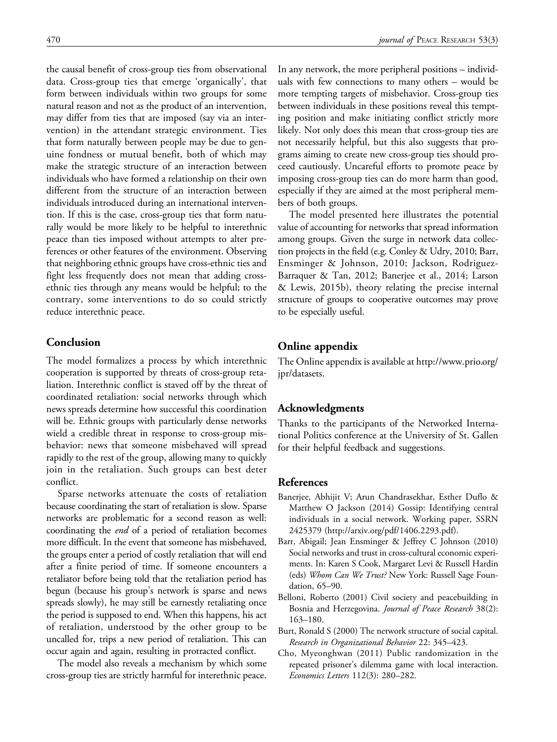the causal benefit of cross-group ties from observational data. Cross-group ties that emerge 'organically', that form between individuals within two groups for some natural reason and not as the product of an intervention, may differ from ties that are imposed (say via an intervention) in the attendant strategic environment. Ties that form naturally between people may be due to genuine fondness or mutual benefit, both of which may make the strategic structure of an interaction between individuals who have formed a relationship on their own different from the structure of an interaction between individuals introduced during an international intervention. If this is the case, cross-group ties that form naturally would be more likely to be helpful to interethnic peace than ties imposed without attempts to alter preferences or other features of the environment. Observing that neighboring ethnic groups have cross-ethnic ties and fight less frequently does not mean that adding crossethnic ties through any means would be helpful; to the contrary, some interventions to do so could strictly

# reduce interethnic peace.

# Conclusion

The model formalizes a process by which interethnic cooperation is supported by threats of cross-group retaliation. Interethnic conflict is staved off by the threat of coordinated retaliation: social networks through which news spreads determine how successful this coordination will be. Ethnic groups with particularly dense networks wield a credible threat in response to cross-group misbehavior: news that someone misbehaved will spread rapidly to the rest of the group, allowing many to quickly join in the retaliation. Such groups can best deter conflict.

Sparse networks attenuate the costs of retaliation because coordinating the start of retaliation is slow. Sparse networks are problematic for a second reason as well: coordinating the end of a period of retaliation becomes more difficult. In the event that someone has misbehaved, the groups enter a period of costly retaliation that will end after a finite period of time. If someone encounters a retaliator before being told that the retaliation period has begun (because his group's network is sparse and news spreads slowly), he may still be earnestly retaliating once the period is supposed to end. When this happens, his act of retaliation, understood by the other group to be uncalled for, trips a new period of retaliation. This can occur again and again, resulting in protracted conflict.

The model also reveals a mechanism by which some cross-group ties are strictly harmful for interethnic peace.

In any network, the more peripheral positions – individuals with few connections to many others – would be more tempting targets of misbehavior. Cross-group ties between individuals in these positions reveal this tempting position and make initiating conflict strictly more likely. Not only does this mean that cross-group ties are not necessarily helpful, but this also suggests that programs aiming to create new cross-group ties should proceed cautiously. Uncareful efforts to promote peace by imposing cross-group ties can do more harm than good, especially if they are aimed at the most peripheral members of both groups.

The model presented here illustrates the potential value of accounting for networks that spread information among groups. Given the surge in network data collection projects in the field (e.g. Conley & Udry, 2010; Barr, Ensminger & Johnson, 2010; Jackson, Rodriguez-Barraquer & Tan, 2012; Banerjee et al., 2014; Larson & Lewis, 2015b), theory relating the precise internal structure of groups to cooperative outcomes may prove to be especially useful.

# Online appendix

The Online appendix is available at [http://www.prio.org/](http://www.prio.org/jpr/datasets) [jpr/datasets.](http://www.prio.org/jpr/datasets)

# Acknowledgments

Thanks to the participants of the Networked International Politics conference at the University of St. Gallen for their helpful feedback and suggestions.

# References

- Banerjee, Abhijit V; Arun Chandrasekhar, Esther Duflo & Matthew O Jackson (2014) Gossip: Identifying central individuals in a social network. Working paper, SSRN 2425379 [\(http://arxiv.org/pdf/1406.2293.pdf\)](http://arxiv.org/pdf/1406.2293.pdf).
- Barr, Abigail; Jean Ensminger & Jeffrey C Johnson (2010) Social networks and trust in cross-cultural economic experiments. In: Karen S Cook, Margaret Levi & Russell Hardin (eds) Whom Can We Trust? New York: Russell Sage Foundation, 65–90.
- Belloni, Roberto (2001) Civil society and peacebuilding in Bosnia and Herzegovina. Journal of Peace Research 38(2): 163–180.
- Burt, Ronald S (2000) The network structure of social capital. Research in Organizational Behavior 22: 345–423.
- Cho, Myeonghwan (2011) Public randomization in the repeated prisoner's dilemma game with local interaction. Economics Letters 112(3): 280–282.